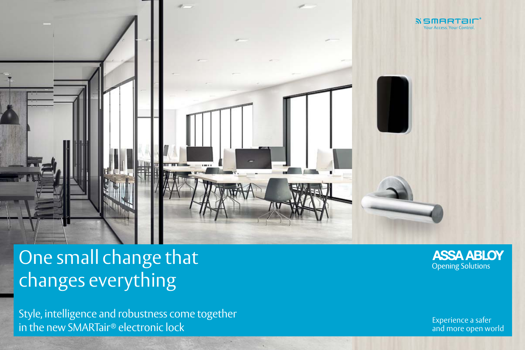

# One small change that changes everything

Style, intelligence and robustness come together experimently in the new SMARTair® electronic lock experiments of the state of the state of the state of the sta<br>Experience a safer experience a safer of the state of the state of the state of the state of the state of the<br>





and more open world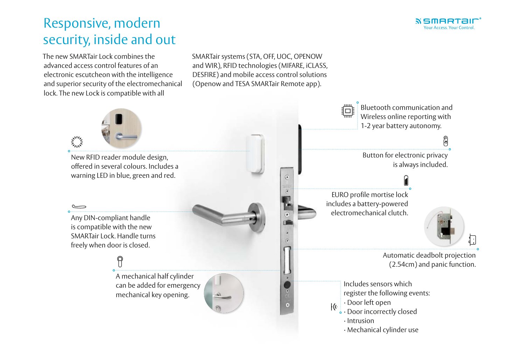The new SMARTair Lock combines the advanced access control features of an electronic escutcheon with the intelligence and superior security of the electromechanical lock. The new Lock is compatible with all

## Responsive, modern security, inside and out

SMARTair systems (STA, OFF, UOC, OPENOW and WIR), RFID technologies (MIFARE, iCLASS, DESFIRE) and mobile access control solutions (Openow and TESA SMARTair Remote app).

> Button for electronic privacy is always included.



0





Automatic deadbolt projection (2.54cm) and panic function.

Bluetooth communication and Wireless online reporting with 1-2 year battery autonomy.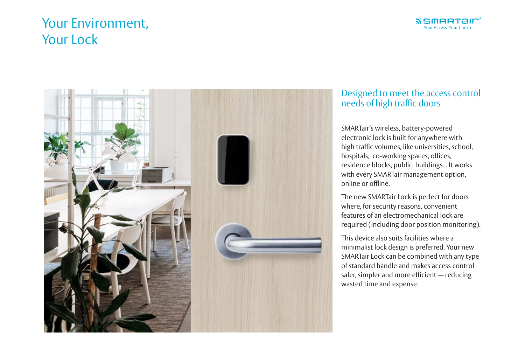## Your Environment, Your Lock



SMARTair's wireless, battery-powered electronic lock is built for anywhere with high traffic volumes, like universities, school, hospitals, co-working spaces, offices, residence blocks, public buildings... It works with every SMARTair management option, online or offline.

The new SMARTair Lock is perfect for doors where, for security reasons, convenient features of an electromechanical lock are required (including door position monitoring).

This device also suits facilities where a minimalist lock design is preferred. Your new SMARTair Lock can be combined with any type of standard handle and makes access control safer, simpler and more efficient — reducing wasted time and expense.



#### Designed to meet the access control needs of high traffic doors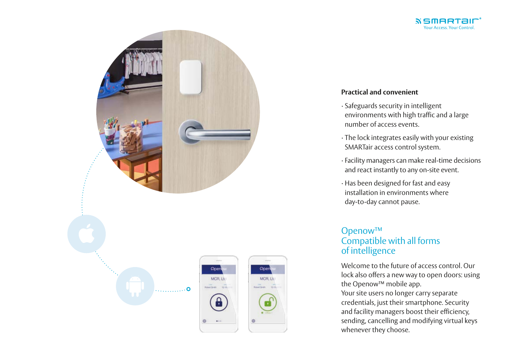### Openow™ Compatible with all forms of intelligence

Welcome to the future of access control. Our lock also offers a new way to open doors: using the Openow™ mobile app. Your site users no longer carry separate credentials, just their smartphone. Security and facility managers boost their efficiency, sending, cancelling and modifying virtual keys whenever they choose.





#### **Practical and convenient**

environments with high traffic and a large

· The lock integrates easily with your existing

- · Safeguards security in intelligent number of access events.
- SMARTair access control system.
- 
- day-to-day cannot pause.

· Facility managers can make real-time decisions and react instantly to any on-site event.

· Has been designed for fast and easy installation in environments where